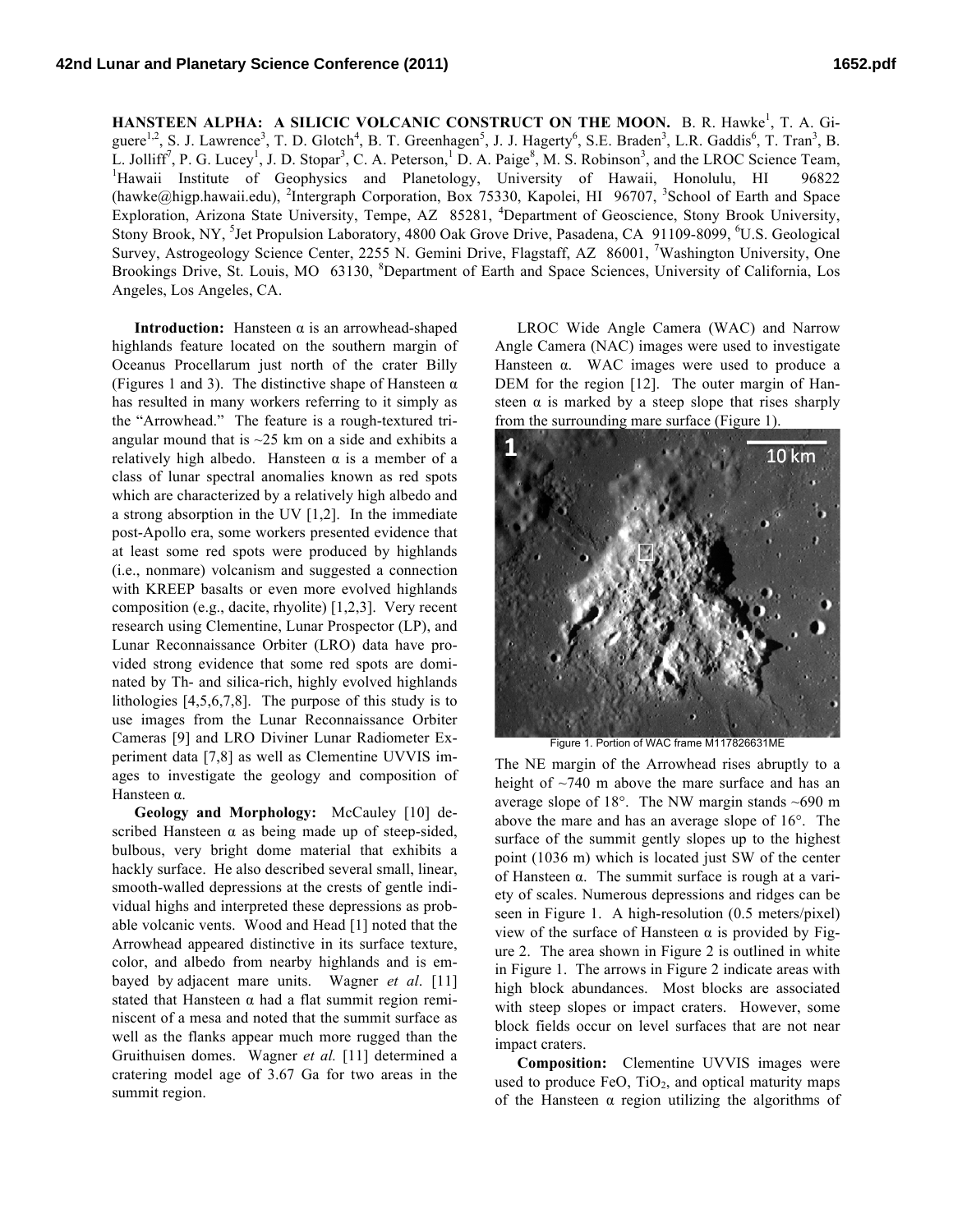**HANSTEEN ALPHA: A SILICIC VOLCANIC CONSTRUCT ON THE MOON.** B. R. Hawke<sup>1</sup>, T. A. Giguere<sup>1,2</sup>, S. J. Lawrence<sup>3</sup>, T. D. Glotch<sup>4</sup>, B. T. Greenhagen<sup>5</sup>, J. J. Hagerty<sup>6</sup>, S.E. Braden<sup>3</sup>, L.R. Gaddis<sup>6</sup>, T. Tran<sup>3</sup>, B. L. Jolliff<sup>7</sup>, P. G. Lucey<sup>1</sup>, J. D. Stopar<sup>3</sup>, C. A. Peterson,<sup>1</sup> D. A. Paige<sup>8</sup>, M. S. Robinson<sup>3</sup>, and the LROC Science Team, <sup>1</sup>Hawaii Institute of Geophysics and Planetology, University of Hawaii, Honolulu, HI 96822 (hawke@higp.hawaii.edu), <sup>2</sup>Intergraph Corporation, Box 75330, Kapolei, HI 96707, <sup>3</sup>School of Earth and Space Exploration, Arizona State University, Tempe, AZ 85281, <sup>4</sup>Department of Geoscience, Stony Brook University, Stony Brook, NY, <sup>5</sup>Jet Propulsion Laboratory, 4800 Oak Grove Drive, Pasadena, CA 91109-8099, <sup>6</sup>U.S. Geological Survey, Astrogeology Science Center, 2255 N. Gemini Drive, Flagstaff, AZ 86001, <sup>7</sup>Washington University, One Brookings Drive, St. Louis, MO 63130, <sup>8</sup>Department of Earth and Space Sciences, University of California, Los Angeles, Los Angeles, CA.

**Introduction:** Hansteen α is an arrowhead-shaped highlands feature located on the southern margin of Oceanus Procellarum just north of the crater Billy (Figures 1 and 3). The distinctive shape of Hansteen  $\alpha$ has resulted in many workers referring to it simply as the "Arrowhead." The feature is a rough-textured triangular mound that is  $\sim$ 25 km on a side and exhibits a relatively high albedo. Hansteen  $\alpha$  is a member of a class of lunar spectral anomalies known as red spots which are characterized by a relatively high albedo and a strong absorption in the UV [1,2]. In the immediate post-Apollo era, some workers presented evidence that at least some red spots were produced by highlands (i.e., nonmare) volcanism and suggested a connection with KREEP basalts or even more evolved highlands composition (e.g., dacite, rhyolite) [1,2,3]. Very recent research using Clementine, Lunar Prospector (LP), and Lunar Reconnaissance Orbiter (LRO) data have provided strong evidence that some red spots are dominated by Th- and silica-rich, highly evolved highlands lithologies [4,5,6,7,8]. The purpose of this study is to use images from the Lunar Reconnaissance Orbiter Cameras [9] and LRO Diviner Lunar Radiometer Experiment data [7,8] as well as Clementine UVVIS images to investigate the geology and composition of Hansteen α.

**Geology and Morphology:** McCauley [10] described Hansteen  $\alpha$  as being made up of steep-sided, bulbous, very bright dome material that exhibits a hackly surface. He also described several small, linear, smooth-walled depressions at the crests of gentle individual highs and interpreted these depressions as probable volcanic vents. Wood and Head [1] noted that the Arrowhead appeared distinctive in its surface texture, color, and albedo from nearby highlands and is embayed by adjacent mare units. Wagner *et al*. [11] stated that Hansteen  $\alpha$  had a flat summit region reminiscent of a mesa and noted that the summit surface as well as the flanks appear much more rugged than the Gruithuisen domes. Wagner *et al.* [11] determined a cratering model age of 3.67 Ga for two areas in the summit region.

LROC Wide Angle Camera (WAC) and Narrow Angle Camera (NAC) images were used to investigate Hansteen α. WAC images were used to produce a DEM for the region [12]. The outer margin of Hansteen  $\alpha$  is marked by a steep slope that rises sharply from the surrounding mare surface (Figure 1).



Figure 1. Portion of WAC frame M117826631ME

The NE margin of the Arrowhead rises abruptly to a height of  $\sim$ 740 m above the mare surface and has an average slope of 18°. The NW margin stands ~690 m above the mare and has an average slope of 16°. The surface of the summit gently slopes up to the highest point (1036 m) which is located just SW of the center of Hansteen α. The summit surface is rough at a variety of scales. Numerous depressions and ridges can be seen in Figure 1. A high-resolution (0.5 meters/pixel) view of the surface of Hansteen  $α$  is provided by Figure 2. The area shown in Figure 2 is outlined in white in Figure 1. The arrows in Figure 2 indicate areas with high block abundances. Most blocks are associated with steep slopes or impact craters. However, some block fields occur on level surfaces that are not near impact craters.

**Composition:** Clementine UVVIS images were used to produce FeO,  $TiO<sub>2</sub>$ , and optical maturity maps of the Hansteen  $\alpha$  region utilizing the algorithms of